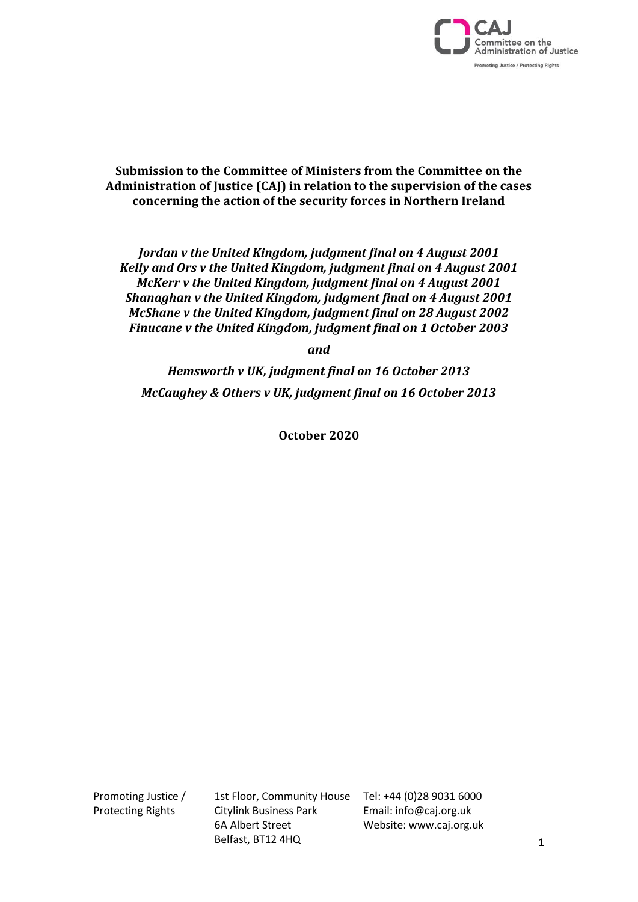

**Submission to the Committee of Ministers from the Committee on the Administration of Justice (CAJ) in relation to the supervision of the cases concerning the action of the security forces in Northern Ireland**

*Jordan v the United Kingdom, judgment final on 4 August 2001 Kelly and Ors v the United Kingdom, judgment final on 4 August 2001 McKerr v the United Kingdom, judgment final on 4 August 2001 Shanaghan v the United Kingdom, judgment final on 4 August 2001 McShane v the United Kingdom, judgment final on 28 August 2002 Finucane v the United Kingdom, judgment final on 1 October 2003*

*and* 

*Hemsworth v UK, judgment final on 16 October 2013 McCaughey & Others v UK, judgment final on 16 October 2013*

**October 2020**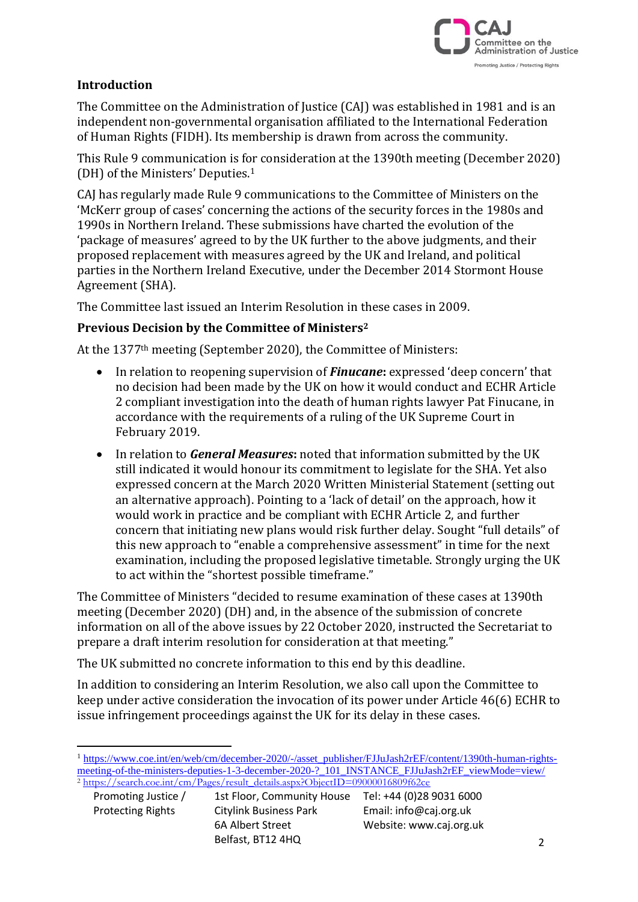

### **Introduction**

The Committee on the Administration of Justice (CAJ) was established in 1981 and is an independent non-governmental organisation affiliated to the International Federation of Human Rights (FIDH). Its membership is drawn from across the community.

This Rule 9 communication is for consideration at the 1390th meeting (December 2020) (DH) of the Ministers' Deputies. 1

CAJ has regularly made Rule 9 communications to the Committee of Ministers on the 'McKerr group of cases' concerning the actions of the security forces in the 1980s and 1990s in Northern Ireland. These submissions have charted the evolution of the 'package of measures' agreed to by the UK further to the above judgments, and their proposed replacement with measures agreed by the UK and Ireland, and political parties in the Northern Ireland Executive, under the December 2014 Stormont House Agreement (SHA).

The Committee last issued an Interim Resolution in these cases in 2009.

#### **Previous Decision by the Committee of Ministers<sup>2</sup>**

At the 1377th meeting (September 2020), the Committee of Ministers:

- In relation to reopening supervision of *Finucane***:** expressed 'deep concern' that no decision had been made by the UK on how it would conduct and ECHR Article 2 compliant investigation into the death of human rights lawyer Pat Finucane, in accordance with the requirements of a ruling of the UK Supreme Court in February 2019.
- In relation to *General Measures***:** noted that information submitted by the UK still indicated it would honour its commitment to legislate for the SHA. Yet also expressed concern at the March 2020 Written Ministerial Statement (setting out an alternative approach). Pointing to a 'lack of detail' on the approach, how it would work in practice and be compliant with ECHR Article 2, and further concern that initiating new plans would risk further delay. Sought "full details" of this new approach to "enable a comprehensive assessment" in time for the next examination, including the proposed legislative timetable. Strongly urging the UK to act within the "shortest possible timeframe."

The Committee of Ministers "decided to resume examination of these cases at 1390th meeting (December 2020) (DH) and, in the absence of the submission of concrete information on all of the above issues by 22 October 2020, instructed the Secretariat to prepare a draft interim resolution for consideration at that meeting."

The UK submitted no concrete information to this end by this deadline.

In addition to considering an Interim Resolution, we also call upon the Committee to keep under active consideration the invocation of its power under Article 46(6) ECHR to issue infringement proceedings against the UK for its delay in these cases.

<sup>&</sup>lt;sup>1</sup> [https://www.coe.int/en/web/cm/december-2020/-/asset\\_publisher/FJJuJash2rEF/content/1390th-human-rights](https://www.coe.int/en/web/cm/december-2020/-/asset_publisher/FJJuJash2rEF/content/1390th-human-rights-meeting-of-the-ministers-deputies-1-3-december-2020-?_101_INSTANCE_FJJuJash2rEF_viewMode=view/)[meeting-of-the-ministers-deputies-1-3-december-2020-?\\_101\\_INSTANCE\\_FJJuJash2rEF\\_viewMode=view/](https://www.coe.int/en/web/cm/december-2020/-/asset_publisher/FJJuJash2rEF/content/1390th-human-rights-meeting-of-the-ministers-deputies-1-3-december-2020-?_101_INSTANCE_FJJuJash2rEF_viewMode=view/) <sup>2</sup> [https://search.coe.int/cm/Pages/result\\_details.aspx?ObjectID=09000016809f62ce](https://search.coe.int/cm/Pages/result_details.aspx?ObjectID=09000016809f62ce)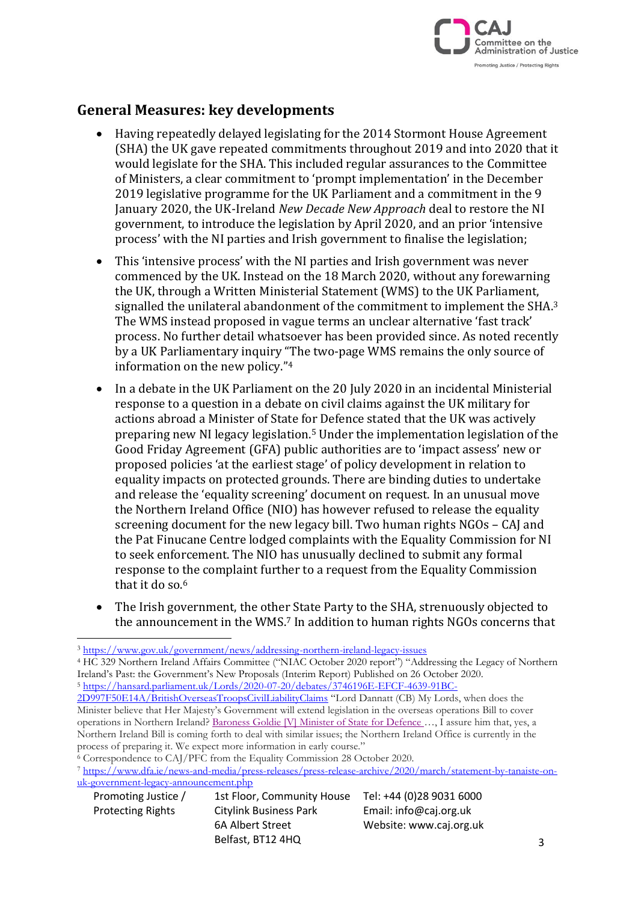

# **General Measures: key developments**

- Having repeatedly delayed legislating for the 2014 Stormont House Agreement (SHA) the UK gave repeated commitments throughout 2019 and into 2020 that it would legislate for the SHA. This included regular assurances to the Committee of Ministers, a clear commitment to 'prompt implementation' in the December 2019 legislative programme for the UK Parliament and a commitment in the 9 January 2020, the UK-Ireland *New Decade New Approach* deal to restore the NI government, to introduce the legislation by April 2020, and an prior 'intensive process' with the NI parties and Irish government to finalise the legislation;
- This 'intensive process' with the NI parties and Irish government was never commenced by the UK. Instead on the 18 March 2020, without any forewarning the UK, through a Written Ministerial Statement (WMS) to the UK Parliament, signalled the unilateral abandonment of the commitment to implement the SHA.<sup>3</sup> The WMS instead proposed in vague terms an unclear alternative 'fast track' process. No further detail whatsoever has been provided since. As noted recently by a UK Parliamentary inquiry "The two-page WMS remains the only source of information on the new policy."<sup>4</sup>
- In a debate in the UK Parliament on the 20 July 2020 in an incidental Ministerial response to a question in a debate on civil claims against the UK military for actions abroad a Minister of State for Defence stated that the UK was actively preparing new NI legacy legislation.<sup>5</sup> Under the implementation legislation of the Good Friday Agreement (GFA) public authorities are to 'impact assess' new or proposed policies 'at the earliest stage' of policy development in relation to equality impacts on protected grounds. There are binding duties to undertake and release the 'equality screening' document on request. In an unusual move the Northern Ireland Office (NIO) has however refused to release the equality screening document for the new legacy bill. Two human rights NGOs – CAJ and the Pat Finucane Centre lodged complaints with the Equality Commission for NI to seek enforcement. The NIO has unusually declined to submit any formal response to the complaint further to a request from the Equality Commission that it do so.<sup>6</sup>
- The Irish government, the other State Party to the SHA, strenuously objected to the announcement in the WMS. <sup>7</sup> In addition to human rights NGOs concerns that

<sup>4</sup> HC 329 Northern Ireland Affairs Committee ("NIAC October 2020 report") "Addressing the Legacy of Northern Ireland's Past: the Government's New Proposals (Interim Report) Published on 26 October 2020. <sup>5</sup> [https://hansard.parliament.uk/Lords/2020-07-20/debates/3746196E-EFCF-4639-91BC-](https://hansard.parliament.uk/Lords/2020-07-20/debates/3746196E-EFCF-4639-91BC-2D997F50E14A/BritishOverseasTroopsCivilLiabilityClaims)

<sup>7</sup> [https://www.dfa.ie/news-and-media/press-releases/press-release-archive/2020/march/statement-by-tanaiste-on](https://www.dfa.ie/news-and-media/press-releases/press-release-archive/2020/march/statement-by-tanaiste-on-uk-government-legacy-announcement.php)[uk-government-legacy-announcement.php](https://www.dfa.ie/news-and-media/press-releases/press-release-archive/2020/march/statement-by-tanaiste-on-uk-government-legacy-announcement.php)

| Promoting Justice /      | 1st Floor, Community House | Tel: +44 (0)28 9031 6000 |
|--------------------------|----------------------------|--------------------------|
| <b>Protecting Rights</b> | Citylink Business Park     | Email: info@caj.org.uk   |
|                          | 6A Albert Street           | Website: www.caj.org.uk  |
|                          | Belfast, BT12 4HQ          |                          |

<sup>3</sup> <https://www.gov.uk/government/news/addressing-northern-ireland-legacy-issues>

[<sup>2</sup>D997F50E14A/BritishOverseasTroopsCivilLiabilityClaims](https://hansard.parliament.uk/Lords/2020-07-20/debates/3746196E-EFCF-4639-91BC-2D997F50E14A/BritishOverseasTroopsCivilLiabilityClaims) "Lord Dannatt (CB) My Lords, when does the Minister believe that Her Majesty's Government will extend legislation in the overseas operations Bill to cover operations in Northern Ireland? [Baroness](https://scanmail.trustwave.com/?c=10916&d=8YDF37BwtAdHtTih7ySoAbsCMLem1BYiGKwab9NLdw&u=https%3a%2f%2fhansard%2eparliament%2euk%2fsearch%2fMemberContributions%3fhouse%3dLords%26memberId%3d4306) Goldie [V] Minister of State for Defence …, I assure him that, yes, a Northern Ireland Bill is coming forth to deal with similar issues; the Northern Ireland Office is currently in the process of preparing it. We expect more information in early course."

<sup>&</sup>lt;sup>6</sup> Correspondence to CAJ/PFC from the Equality Commission 28 October 2020.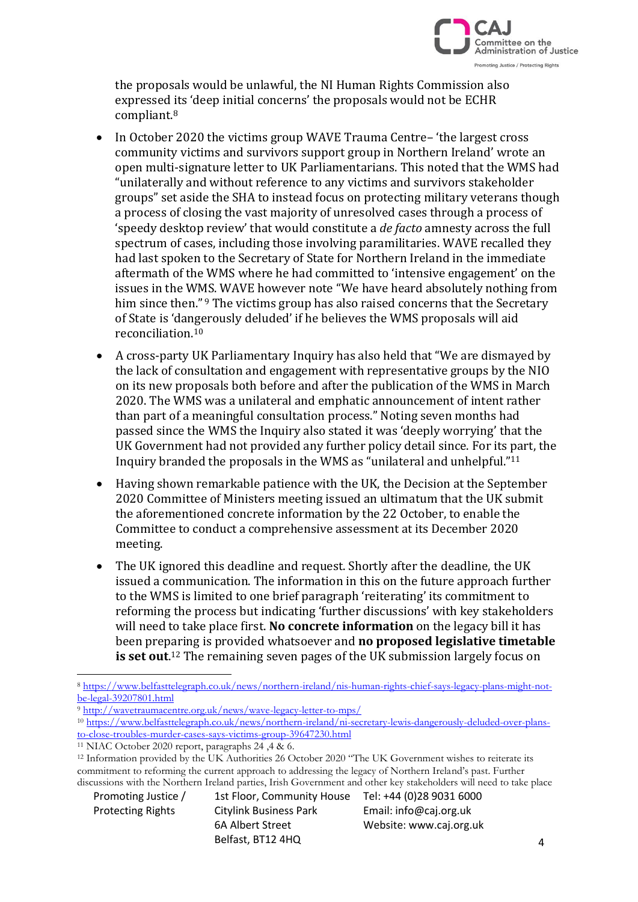

the proposals would be unlawful, the NI Human Rights Commission also expressed its 'deep initial concerns' the proposals would not be ECHR compliant.<sup>8</sup>

- In October 2020 the victims group WAVE Trauma Centre-'the largest cross community victims and survivors support group in Northern Ireland' wrote an open multi-signature letter to UK Parliamentarians. This noted that the WMS had "unilaterally and without reference to any victims and survivors stakeholder groups" set aside the SHA to instead focus on protecting military veterans though a process of closing the vast majority of unresolved cases through a process of 'speedy desktop review' that would constitute a *de facto* amnesty across the full spectrum of cases, including those involving paramilitaries. WAVE recalled they had last spoken to the Secretary of State for Northern Ireland in the immediate aftermath of the WMS where he had committed to 'intensive engagement' on the issues in the WMS. WAVE however note "We have heard absolutely nothing from him since then."<sup>9</sup> The victims group has also raised concerns that the Secretary of State is 'dangerously deluded' if he believes the WMS proposals will aid reconciliation.<sup>10</sup>
- A cross-party UK Parliamentary Inquiry has also held that "We are dismayed by the lack of consultation and engagement with representative groups by the NIO on its new proposals both before and after the publication of the WMS in March 2020. The WMS was a unilateral and emphatic announcement of intent rather than part of a meaningful consultation process." Noting seven months had passed since the WMS the Inquiry also stated it was 'deeply worrying' that the UK Government had not provided any further policy detail since. For its part, the Inquiry branded the proposals in the WMS as "unilateral and unhelpful." 11
- Having shown remarkable patience with the UK, the Decision at the September 2020 Committee of Ministers meeting issued an ultimatum that the UK submit the aforementioned concrete information by the 22 October, to enable the Committee to conduct a comprehensive assessment at its December 2020 meeting.
- The UK ignored this deadline and request. Shortly after the deadline, the UK issued a communication. The information in this on the future approach further to the WMS is limited to one brief paragraph 'reiterating' its commitment to reforming the process but indicating 'further discussions' with key stakeholders will need to take place first. **No concrete information** on the legacy bill it has been preparing is provided whatsoever and **no proposed legislative timetable is set out**. <sup>12</sup> The remaining seven pages of the UK submission largely focus on

Protecting Rights Citylink Business Park Email: info@caj.org.uk Belfast, BT12 4HQ

Promoting Justice / 1st Floor, Community House Tel: +44 (0)28 9031 6000 6A Albert Street Website: www.caj.org.uk

<sup>8</sup> [https://www.belfasttelegraph.co.uk/news/northern-ireland/nis-human-rights-chief-says-legacy-plans-might-not](https://www.belfasttelegraph.co.uk/news/northern-ireland/nis-human-rights-chief-says-legacy-plans-might-not-be-legal-39207801.html)[be-legal-39207801.html](https://www.belfasttelegraph.co.uk/news/northern-ireland/nis-human-rights-chief-says-legacy-plans-might-not-be-legal-39207801.html)

<sup>9</sup> <http://wavetraumacentre.org.uk/news/wave-legacy-letter-to-mps/>

<sup>10</sup> [https://www.belfasttelegraph.co.uk/news/northern-ireland/ni-secretary-lewis-dangerously-deluded-over-plans](https://www.belfasttelegraph.co.uk/news/northern-ireland/ni-secretary-lewis-dangerously-deluded-over-plans-to-close-troubles-murder-cases-says-victims-group-39647230.html)[to-close-troubles-murder-cases-says-victims-group-39647230.html](https://www.belfasttelegraph.co.uk/news/northern-ireland/ni-secretary-lewis-dangerously-deluded-over-plans-to-close-troubles-murder-cases-says-victims-group-39647230.html)

<sup>&</sup>lt;sup>11</sup> NIAC October 2020 report, paragraphs  $24, 4, 8, 6$ .

<sup>&</sup>lt;sup>12</sup> Information provided by the UK Authorities 26 October 2020 "The UK Government wishes to reiterate its commitment to reforming the current approach to addressing the legacy of Northern Ireland's past. Further discussions with the Northern Ireland parties, Irish Government and other key stakeholders will need to take place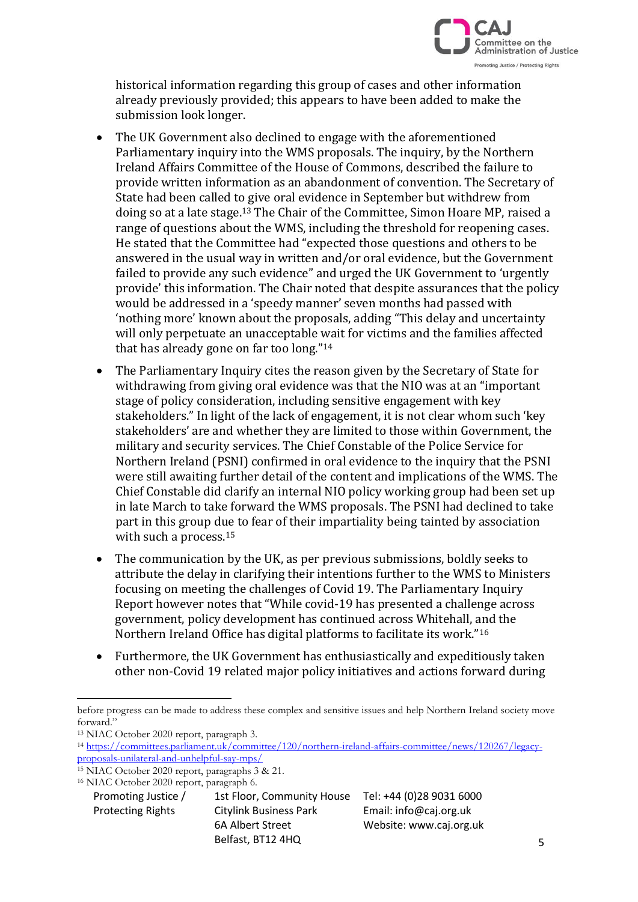

historical information regarding this group of cases and other information already previously provided; this appears to have been added to make the submission look longer.

- The UK Government also declined to engage with the aforementioned Parliamentary inquiry into the WMS proposals. The inquiry, by the Northern Ireland Affairs Committee of the House of Commons, described the failure to provide written information as an abandonment of convention. The Secretary of State had been called to give oral evidence in September but withdrew from doing so at a late stage.<sup>13</sup> The Chair of the Committee, Simon Hoare MP, raised a range of questions about the WMS, including the threshold for reopening cases. He stated that the Committee had "expected those questions and others to be answered in the usual way in written and/or oral evidence, but the Government failed to provide any such evidence" and urged the UK Government to 'urgently provide' this information. The Chair noted that despite assurances that the policy would be addressed in a 'speedy manner' seven months had passed with 'nothing more' known about the proposals, adding "This delay and uncertainty will only perpetuate an unacceptable wait for victims and the families affected that has already gone on far too long."<sup>14</sup>
- The Parliamentary Inquiry cites the reason given by the Secretary of State for withdrawing from giving oral evidence was that the NIO was at an "important stage of policy consideration, including sensitive engagement with key stakeholders." In light of the lack of engagement, it is not clear whom such 'key stakeholders' are and whether they are limited to those within Government, the military and security services. The Chief Constable of the Police Service for Northern Ireland (PSNI) confirmed in oral evidence to the inquiry that the PSNI were still awaiting further detail of the content and implications of the WMS. The Chief Constable did clarify an internal NIO policy working group had been set up in late March to take forward the WMS proposals. The PSNI had declined to take part in this group due to fear of their impartiality being tainted by association with such a process.<sup>15</sup>
- The communication by the UK, as per previous submissions, boldly seeks to attribute the delay in clarifying their intentions further to the WMS to Ministers focusing on meeting the challenges of Covid 19. The Parliamentary Inquiry Report however notes that "While covid-19 has presented a challenge across government, policy development has continued across Whitehall, and the Northern Ireland Office has digital platforms to facilitate its work."<sup>16</sup>
- Furthermore, the UK Government has enthusiastically and expeditiously taken other non-Covid 19 related major policy initiatives and actions forward during

before progress can be made to address these complex and sensitive issues and help Northern Ireland society move forward."

<sup>13</sup> NIAC October 2020 report, paragraph 3.

<sup>14</sup> [https://committees.parliament.uk/committee/120/northern-ireland-affairs-committee/news/120267/legacy](https://committees.parliament.uk/committee/120/northern-ireland-affairs-committee/news/120267/legacy-proposals-unilateral-and-unhelpful-say-mps/)[proposals-unilateral-and-unhelpful-say-mps/](https://committees.parliament.uk/committee/120/northern-ireland-affairs-committee/news/120267/legacy-proposals-unilateral-and-unhelpful-say-mps/)

<sup>15</sup> NIAC October 2020 report, paragraphs 3 & 21.

Promoting Justice / 1st Floor, Community House Tel: +44 (0)28 9031 6000 Protecting Rights Citylink Business Park Email: info@caj.org.uk 6A Albert Street Website: www.caj.org.uk Belfast, BT12 4HQ <sup>16</sup> NIAC October 2020 report, paragraph 6.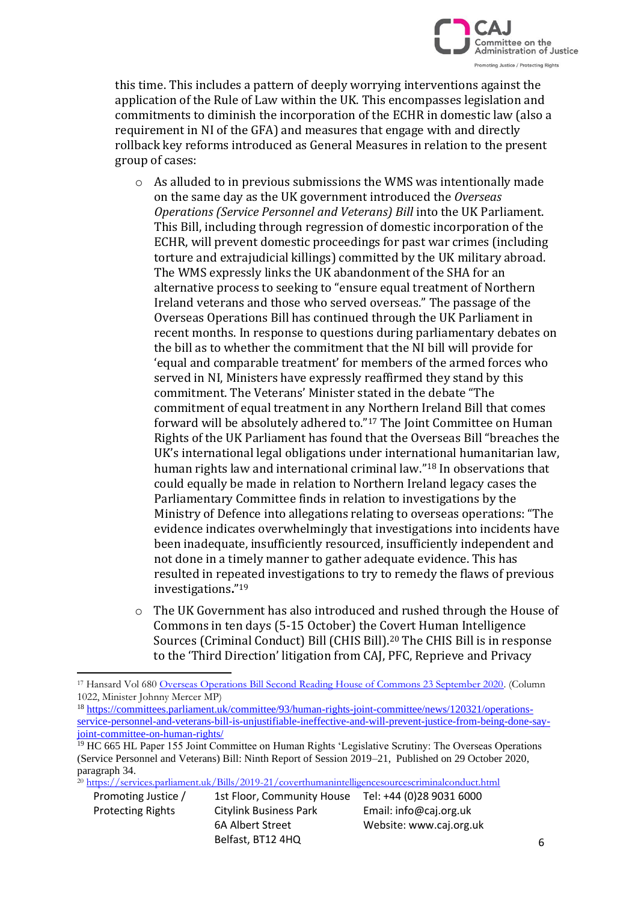

this time. This includes a pattern of deeply worrying interventions against the application of the Rule of Law within the UK. This encompasses legislation and commitments to diminish the incorporation of the ECHR in domestic law (also a requirement in NI of the GFA) and measures that engage with and directly rollback key reforms introduced as General Measures in relation to the present group of cases:

- o As alluded to in previous submissions the WMS was intentionally made on the same day as the UK government introduced the *Overseas Operations (Service Personnel and Veterans) Bill* into the UK Parliament. This Bill, including through regression of domestic incorporation of the ECHR, will prevent domestic proceedings for past war crimes (including torture and extrajudicial killings) committed by the UK military abroad. The WMS expressly links the UK abandonment of the SHA for an alternative process to seeking to "ensure equal treatment of Northern Ireland veterans and those who served overseas." The passage of the Overseas Operations Bill has continued through the UK Parliament in recent months. In response to questions during parliamentary debates on the bill as to whether the commitment that the NI bill will provide for 'equal and comparable treatment' for members of the armed forces who served in NI, Ministers have expressly reaffirmed they stand by this commitment. The Veterans' Minister stated in the debate "The commitment of equal treatment in any Northern Ireland Bill that comes forward will be absolutely adhered to."<sup>17</sup> The Joint Committee on Human Rights of the UK Parliament has found that the Overseas Bill "breaches the UK's international legal obligations under international humanitarian law, human rights law and international criminal law." <sup>18</sup> In observations that could equally be made in relation to Northern Ireland legacy cases the Parliamentary Committee finds in relation to investigations by the Ministry of Defence into allegations relating to overseas operations: "The evidence indicates overwhelmingly that investigations into incidents have been inadequate, insufficiently resourced, insufficiently independent and not done in a timely manner to gather adequate evidence. This has resulted in repeated investigations to try to remedy the flaws of previous investigations**.**" 19
- o The UK Government has also introduced and rushed through the House of Commons in ten days (5-15 October) the Covert Human Intelligence Sources (Criminal Conduct) Bill (CHIS Bill). <sup>20</sup> The CHIS Bill is in response to the 'Third Direction' litigation from CAJ, PFC, Reprieve and Privacy

<sup>18</sup> [https://committees.parliament.uk/committee/93/human-rights-joint-committee/news/120321/operations](https://committees.parliament.uk/committee/93/human-rights-joint-committee/news/120321/operations-service-personnel-and-veterans-bill-is-unjustifiable-ineffective-and-will-prevent-justice-from-being-done-say-joint-committee-on-human-rights/)[service-personnel-and-veterans-bill-is-unjustifiable-ineffective-and-will-prevent-justice-from-being-done-say](https://committees.parliament.uk/committee/93/human-rights-joint-committee/news/120321/operations-service-personnel-and-veterans-bill-is-unjustifiable-ineffective-and-will-prevent-justice-from-being-done-say-joint-committee-on-human-rights/)[joint-committee-on-human-rights/](https://committees.parliament.uk/committee/93/human-rights-joint-committee/news/120321/operations-service-personnel-and-veterans-bill-is-unjustifiable-ineffective-and-will-prevent-justice-from-being-done-say-joint-committee-on-human-rights/)

<sup>20</sup> <https://services.parliament.uk/Bills/2019-21/coverthumanintelligencesourcescriminalconduct.html>

<sup>&</sup>lt;sup>17</sup> Hansard Vol 680 [Overseas Operations Bill Second Reading House of Commons 23 September 2020.](https://hansard.parliament.uk/commons/2020-09-23/debates/BE01763F-2480-4C4B-9FAA-E36AC7158566/OverseasOperations(ServicePersonnelAndVeterans)Bill) (Column 1022, Minister Johnny Mercer MP)

<sup>&</sup>lt;sup>19</sup> HC 665 HL Paper 155 Joint Committee on Human Rights 'Legislative Scrutiny: The Overseas Operations (Service Personnel and Veterans) Bill: Ninth Report of Session 2019–21, Published on 29 October 2020, paragraph 34.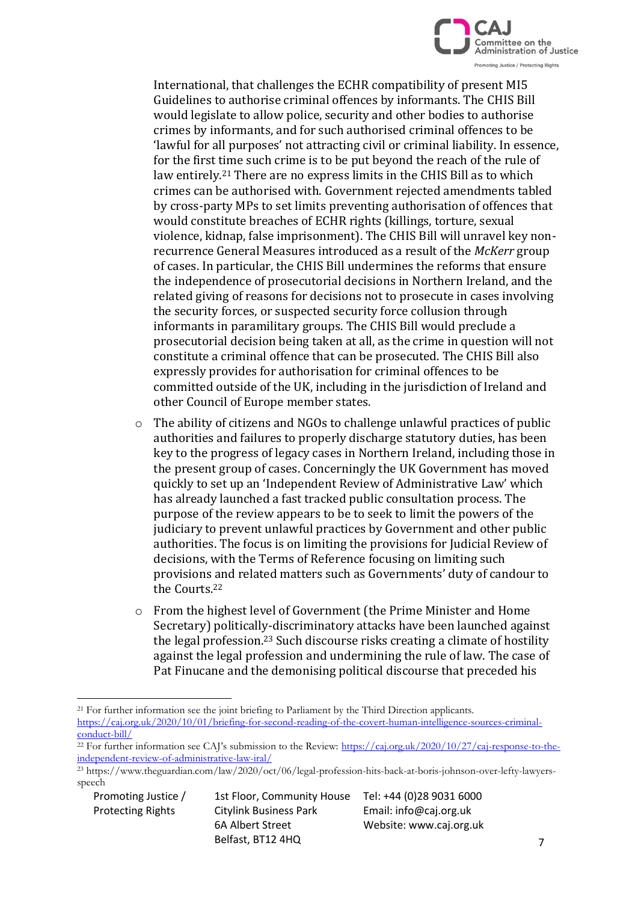

International, that challenges the ECHR compatibility of present MI5 Guidelines to authorise criminal offences by informants. The CHIS Bill would legislate to allow police, security and other bodies to authorise crimes by informants, and for such authorised criminal offences to be 'lawful for all purposes' not attracting civil or criminal liability. In essence, for the first time such crime is to be put beyond the reach of the rule of law entirely.<sup>21</sup> There are no express limits in the CHIS Bill as to which crimes can be authorised with. Government rejected amendments tabled by cross-party MPs to set limits preventing authorisation of offences that would constitute breaches of ECHR rights (killings, torture, sexual violence, kidnap, false imprisonment). The CHIS Bill will unravel key nonrecurrence General Measures introduced as a result of the *McKerr* group of cases. In particular, the CHIS Bill undermines the reforms that ensure the independence of prosecutorial decisions in Northern Ireland, and the related giving of reasons for decisions not to prosecute in cases involving the security forces, or suspected security force collusion through informants in paramilitary groups. The CHIS Bill would preclude a prosecutorial decision being taken at all, as the crime in question will not constitute a criminal offence that can be prosecuted. The CHIS Bill also expressly provides for authorisation for criminal offences to be committed outside of the UK, including in the jurisdiction of Ireland and other Council of Europe member states.

- $\circ$  The ability of citizens and NGOs to challenge unlawful practices of public authorities and failures to properly discharge statutory duties, has been key to the progress of legacy cases in Northern Ireland, including those in the present group of cases. Concerningly the UK Government has moved quickly to set up an 'Independent Review of Administrative Law' which has already launched a fast tracked public consultation process. The purpose of the review appears to be to seek to limit the powers of the judiciary to prevent unlawful practices by Government and other public authorities. The focus is on limiting the provisions for Judicial Review of decisions, with the Terms of Reference focusing on limiting such provisions and related matters such as Governments' duty of candour to the Courts.<sup>22</sup>
- o From the highest level of Government (the Prime Minister and Home Secretary) politically-discriminatory attacks have been launched against the legal profession.<sup>23</sup> Such discourse risks creating a climate of hostility against the legal profession and undermining the rule of law. The case of Pat Finucane and the demonising political discourse that preceded his

<sup>&</sup>lt;sup>21</sup> For further information see the joint briefing to Parliament by the Third Direction applicants. [https://caj.org.uk/2020/10/01/briefing-for-second-reading-of-the-covert-human-intelligence-sources-criminal](https://caj.org.uk/2020/10/01/briefing-for-second-reading-of-the-covert-human-intelligence-sources-criminal-conduct-bill/)[conduct-bill/](https://caj.org.uk/2020/10/01/briefing-for-second-reading-of-the-covert-human-intelligence-sources-criminal-conduct-bill/)

<sup>&</sup>lt;sup>22</sup> For further information see CAI's submission to the Review: [https://caj.org.uk/2020/10/27/caj-response-to-the](https://caj.org.uk/2020/10/27/caj-response-to-the-independent-review-of-administrative-law-iral/)[independent-review-of-administrative-law-iral/](https://caj.org.uk/2020/10/27/caj-response-to-the-independent-review-of-administrative-law-iral/)

<sup>23</sup> https://www.theguardian.com/law/2020/oct/06/legal-profession-hits-back-at-boris-johnson-over-lefty-lawyersspeech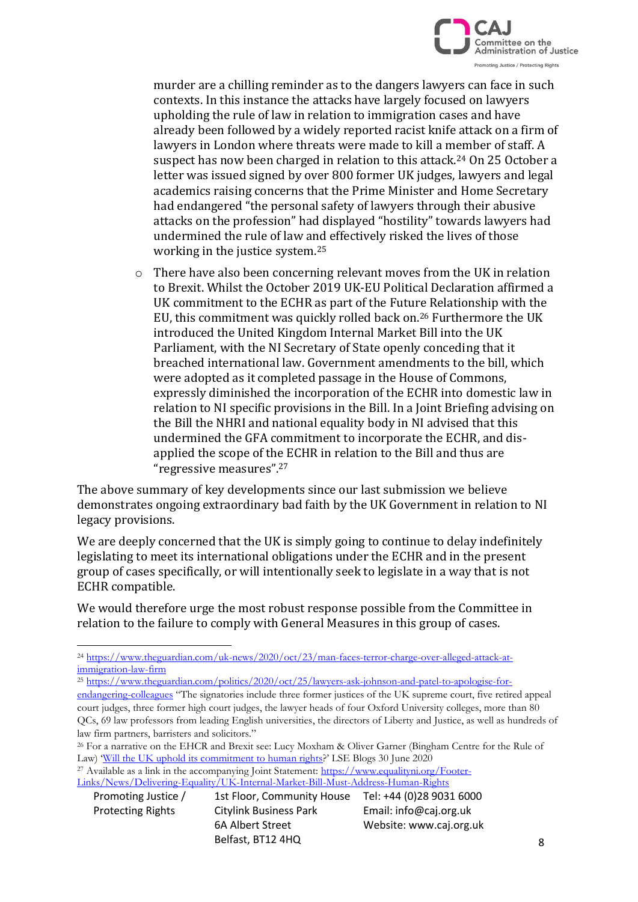

murder are a chilling reminder as to the dangers lawyers can face in such contexts. In this instance the attacks have largely focused on lawyers upholding the rule of law in relation to immigration cases and have already been followed by a widely reported racist knife attack on a firm of lawyers in London where threats were made to kill a member of staff. A suspect has now been charged in relation to this attack.<sup>24</sup> On 25 October a letter was issued signed by over 800 former UK judges, lawyers and legal academics raising concerns that the Prime Minister and Home Secretary had endangered "the personal safety of lawyers through their abusive attacks on the profession" had displayed "hostility" towards lawyers had undermined the rule of law and effectively risked the lives of those working in the justice system.<sup>25</sup>

o There have also been concerning relevant moves from the UK in relation to Brexit. Whilst the October 2019 UK-EU Political Declaration affirmed a UK commitment to the ECHR as part of the Future Relationship with the EU, this commitment was quickly rolled back on.<sup>26</sup> Furthermore the UK introduced the United Kingdom Internal Market Bill into the UK Parliament, with the NI Secretary of State openly conceding that it breached international law. Government amendments to the bill, which were adopted as it completed passage in the House of Commons, expressly diminished the incorporation of the ECHR into domestic law in relation to NI specific provisions in the Bill. In a Joint Briefing advising on the Bill the NHRI and national equality body in NI advised that this undermined the GFA commitment to incorporate the ECHR, and disapplied the scope of the ECHR in relation to the Bill and thus are "regressive measures".<sup>27</sup>

The above summary of key developments since our last submission we believe demonstrates ongoing extraordinary bad faith by the UK Government in relation to NI legacy provisions.

We are deeply concerned that the UK is simply going to continue to delay indefinitely legislating to meet its international obligations under the ECHR and in the present group of cases specifically, or will intentionally seek to legislate in a way that is not ECHR compatible.

We would therefore urge the most robust response possible from the Committee in relation to the failure to comply with General Measures in this group of cases.

<sup>27</sup> Available as a link in the accompanying Joint Statement: [https://www.equalityni.org/Footer-](https://www.equalityni.org/Footer-Links/News/Delivering-Equality/UK-Internal-Market-Bill-Must-Address-Human-Rights)[Links/News/Delivering-Equality/UK-Internal-Market-Bill-Must-Address-Human-Rights](https://www.equalityni.org/Footer-Links/News/Delivering-Equality/UK-Internal-Market-Bill-Must-Address-Human-Rights)

<sup>24</sup> [https://www.theguardian.com/uk-news/2020/oct/23/man-faces-terror-charge-over-alleged-attack-at](https://www.theguardian.com/uk-news/2020/oct/23/man-faces-terror-charge-over-alleged-attack-at-immigration-law-firm)[immigration-law-firm](https://www.theguardian.com/uk-news/2020/oct/23/man-faces-terror-charge-over-alleged-attack-at-immigration-law-firm)

<sup>&</sup>lt;sup>25</sup> [https://www.theguardian.com/politics/2020/oct/25/lawyers-ask-johnson-and-patel-to-apologise-for-](https://www.theguardian.com/politics/2020/oct/25/lawyers-ask-johnson-and-patel-to-apologise-for-endangering-colleagues)

[endangering-colleagues](https://www.theguardian.com/politics/2020/oct/25/lawyers-ask-johnson-and-patel-to-apologise-for-endangering-colleagues) "The signatories include three former justices of the UK supreme court, five retired appeal court judges, three former high court judges, the lawyer heads of four Oxford University colleges, more than 80 QCs, 69 law professors from leading English universities, the directors of Liberty and Justice, as well as hundreds of law firm partners, barristers and solicitors."

<sup>&</sup>lt;sup>26</sup> For a narrative on the EHCR and Brexit see: Lucy Moxham & Oliver Garner (Bingham Centre for the Rule of Law) '[Will the UK uphold its commitment to human rights](https://blogs.lse.ac.uk/brexit/2020/06/30/long-read-will-the-uk-uphold-its-commitment-to-human-rights/)?' LSE Blogs 30 June 2020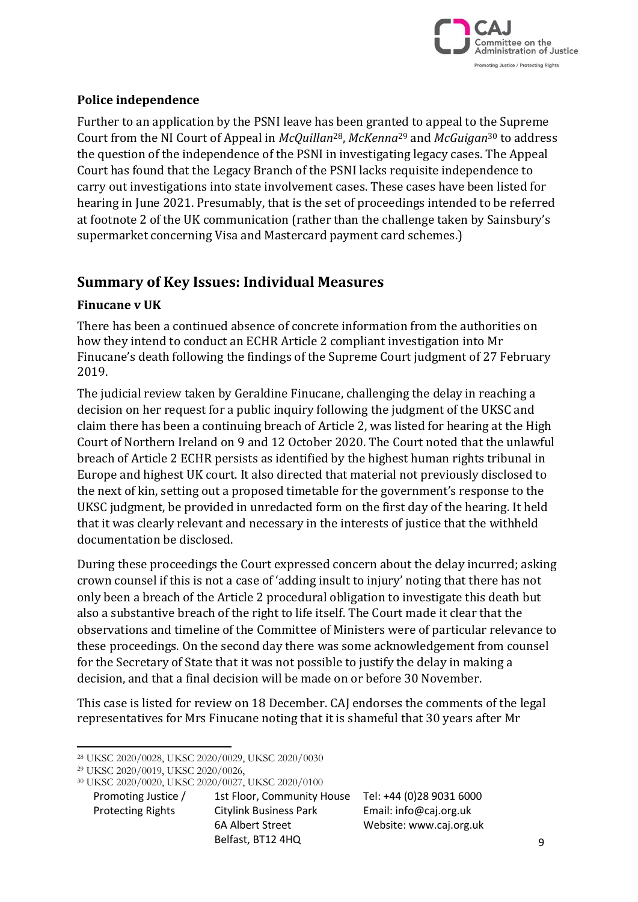

### **Police independence**

Further to an application by the PSNI leave has been granted to appeal to the Supreme Court from the NI Court of Appeal in *McQuillan*28, *McKenna*<sup>29</sup> and *McGuigan*<sup>30</sup> to address the question of the independence of the PSNI in investigating legacy cases. The Appeal Court has found that the Legacy Branch of the PSNI lacks requisite independence to carry out investigations into state involvement cases. These cases have been listed for hearing in June 2021. Presumably, that is the set of proceedings intended to be referred at footnote 2 of the UK communication (rather than the challenge taken by Sainsbury's supermarket concerning Visa and Mastercard payment card schemes.)

# **Summary of Key Issues: Individual Measures**

#### **Finucane v UK**

There has been a continued absence of concrete information from the authorities on how they intend to conduct an ECHR Article 2 compliant investigation into Mr Finucane's death following the findings of the Supreme Court judgment of 27 February 2019.

The judicial review taken by Geraldine Finucane, challenging the delay in reaching a decision on her request for a public inquiry following the judgment of the UKSC and claim there has been a continuing breach of Article 2, was listed for hearing at the High Court of Northern Ireland on 9 and 12 October 2020. The Court noted that the unlawful breach of Article 2 ECHR persists as identified by the highest human rights tribunal in Europe and highest UK court. It also directed that material not previously disclosed to the next of kin, setting out a proposed timetable for the government's response to the UKSC judgment, be provided in unredacted form on the first day of the hearing. It held that it was clearly relevant and necessary in the interests of justice that the withheld documentation be disclosed.

During these proceedings the Court expressed concern about the delay incurred; asking crown counsel if this is not a case of 'adding insult to injury' noting that there has not only been a breach of the Article 2 procedural obligation to investigate this death but also a substantive breach of the right to life itself. The Court made it clear that the observations and timeline of the Committee of Ministers were of particular relevance to these proceedings. On the second day there was some acknowledgement from counsel for the Secretary of State that it was not possible to justify the delay in making a decision, and that a final decision will be made on or before 30 November.

This case is listed for review on 18 December. CAJ endorses the comments of the legal representatives for Mrs Finucane noting that it is shameful that 30 years after Mr

<sup>30</sup> UKSC 2020/0020, UKSC 2020/0027, UKSC 2020/0100

<sup>28</sup> UKSC 2020/0028, UKSC 2020/0029, UKSC 2020/0030

<sup>29</sup> UKSC 2020/0019, UKSC 2020/0026,

Promoting Justice / 1st Floor, Community House Tel: +44 (0)28 9031 6000 Protecting Rights Citylink Business Park Email: info@caj.org.uk 6A Albert Street Website: www.caj.org.uk Belfast, BT12 4HQ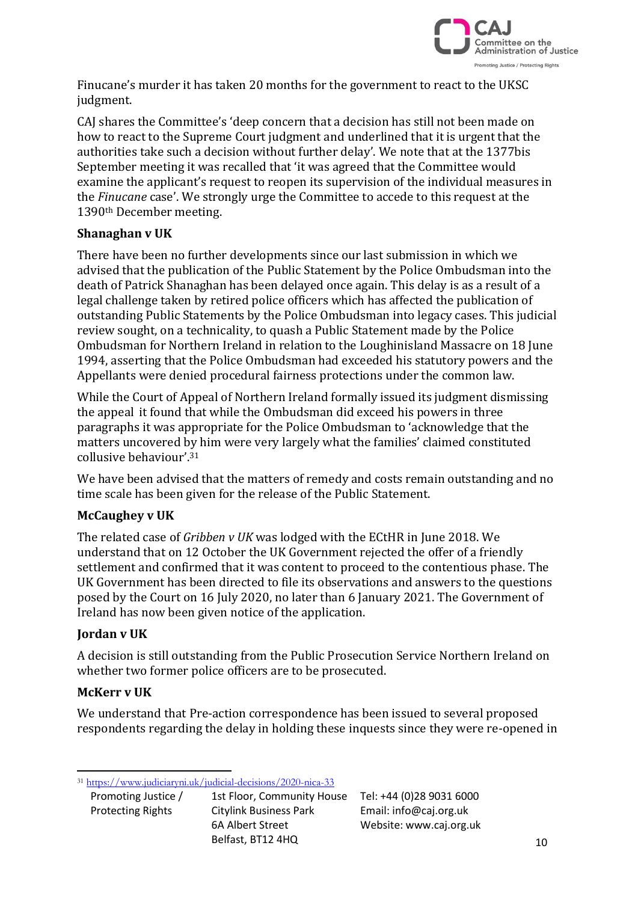

Finucane's murder it has taken 20 months for the government to react to the UKSC judgment.

CAJ shares the Committee's 'deep concern that a decision has still not been made on how to react to the Supreme Court judgment and underlined that it is urgent that the authorities take such a decision without further delay'. We note that at the 1377bis September meeting it was recalled that 'it was agreed that the Committee would examine the applicant's request to reopen its supervision of the individual measures in the *Finucane* case'. We strongly urge the Committee to accede to this request at the 1390th December meeting.

## **Shanaghan v UK**

There have been no further developments since our last submission in which we advised that the publication of the Public Statement by the Police Ombudsman into the death of Patrick Shanaghan has been delayed once again. This delay is as a result of a legal challenge taken by retired police officers which has affected the publication of outstanding Public Statements by the Police Ombudsman into legacy cases. This judicial review sought, on a technicality, to quash a Public Statement made by the Police Ombudsman for Northern Ireland in relation to the Loughinisland Massacre on 18 June 1994, asserting that the Police Ombudsman had exceeded his statutory powers and the Appellants were denied procedural fairness protections under the common law.

While the Court of Appeal of Northern Ireland formally issued its judgment dismissing the appeal it found that while the Ombudsman did exceed his powers in three paragraphs it was appropriate for the Police Ombudsman to 'acknowledge that the matters uncovered by him were very largely what the families' claimed constituted collusive behaviour'.<sup>31</sup>

We have been advised that the matters of remedy and costs remain outstanding and no time scale has been given for the release of the Public Statement.

## **McCaughey v UK**

The related case of *Gribben v UK* was lodged with the ECtHR in June 2018. We understand that on 12 October the UK Government rejected the offer of a friendly settlement and confirmed that it was content to proceed to the contentious phase. The UK Government has been directed to file its observations and answers to the questions posed by the Court on 16 July 2020, no later than 6 January 2021. The Government of Ireland has now been given notice of the application.

#### **Jordan v UK**

A decision is still outstanding from the Public Prosecution Service Northern Ireland on whether two former police officers are to be prosecuted.

#### **McKerr v UK**

We understand that Pre-action correspondence has been issued to several proposed respondents regarding the delay in holding these inquests since they were re-opened in

<sup>31</sup> <https://www.judiciaryni.uk/judicial-decisions/2020-nica-33>

Promoting Justice / 1st Floor, Community House Tel: +44 (0)28 9031 6000<br>Protecting Rights Citylink Business Park Email: info@caj.org.uk<br>6A Albert Street Website: www.caj.org.uk<br>Belfast, BT12 4HQ Protecting Rights Citylink Business Park Email: info@caj.org.uk 6A Albert Street Website: www.caj.org.uk Belfast, BT12 4HQ